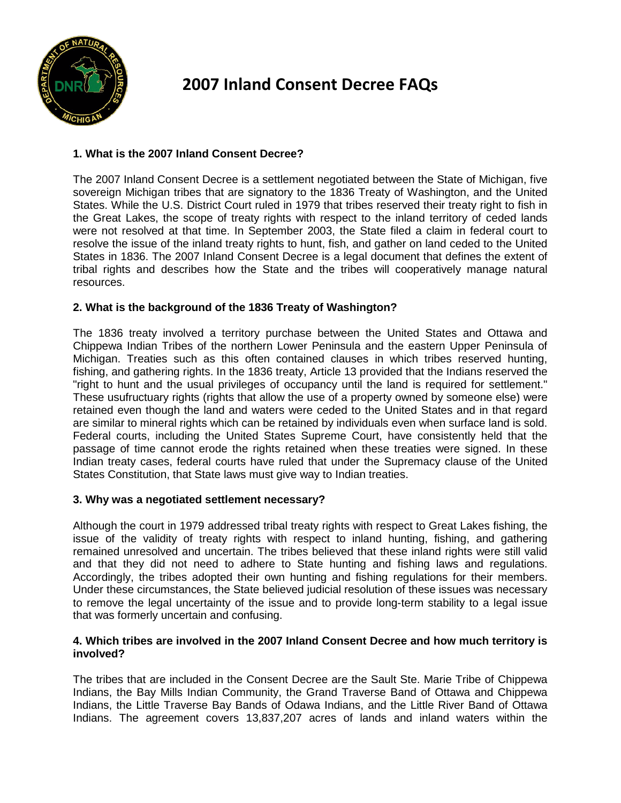

# **2007 Inland Consent Decree FAQs**

# **1. What is the 2007 Inland Consent Decree?**

The 2007 Inland Consent Decree is a settlement negotiated between the State of Michigan, five sovereign Michigan tribes that are signatory to the 1836 Treaty of Washington, and the United States. While the U.S. District Court ruled in 1979 that tribes reserved their treaty right to fish in the Great Lakes, the scope of treaty rights with respect to the inland territory of ceded lands were not resolved at that time. In September 2003, the State filed a claim in federal court to resolve the issue of the inland treaty rights to hunt, fish, and gather on land ceded to the United States in 1836. The 2007 Inland Consent Decree is a legal document that defines the extent of tribal rights and describes how the State and the tribes will cooperatively manage natural resources.

# **2. What is the background of the 1836 Treaty of Washington?**

The 1836 treaty involved a territory purchase between the United States and Ottawa and Chippewa Indian Tribes of the northern Lower Peninsula and the eastern Upper Peninsula of Michigan. Treaties such as this often contained clauses in which tribes reserved hunting, fishing, and gathering rights. In the 1836 treaty, Article 13 provided that the Indians reserved the "right to hunt and the usual privileges of occupancy until the land is required for settlement." These usufructuary rights (rights that allow the use of a property owned by someone else) were retained even though the land and waters were ceded to the United States and in that regard are similar to mineral rights which can be retained by individuals even when surface land is sold. Federal courts, including the United States Supreme Court, have consistently held that the passage of time cannot erode the rights retained when these treaties were signed. In these Indian treaty cases, federal courts have ruled that under the Supremacy clause of the United States Constitution, that State laws must give way to Indian treaties.

# **3. Why was a negotiated settlement necessary?**

Although the court in 1979 addressed tribal treaty rights with respect to Great Lakes fishing, the issue of the validity of treaty rights with respect to inland hunting, fishing, and gathering remained unresolved and uncertain. The tribes believed that these inland rights were still valid and that they did not need to adhere to State hunting and fishing laws and regulations. Accordingly, the tribes adopted their own hunting and fishing regulations for their members. Under these circumstances, the State believed judicial resolution of these issues was necessary to remove the legal uncertainty of the issue and to provide long-term stability to a legal issue that was formerly uncertain and confusing.

### **4. Which tribes are involved in the 2007 Inland Consent Decree and how much territory is involved?**

The tribes that are included in the Consent Decree are the Sault Ste. Marie Tribe of Chippewa Indians, the Bay Mills Indian Community, the Grand Traverse Band of Ottawa and Chippewa Indians, the Little Traverse Bay Bands of Odawa Indians, and the Little River Band of Ottawa Indians. The agreement covers 13,837,207 acres of lands and inland waters within the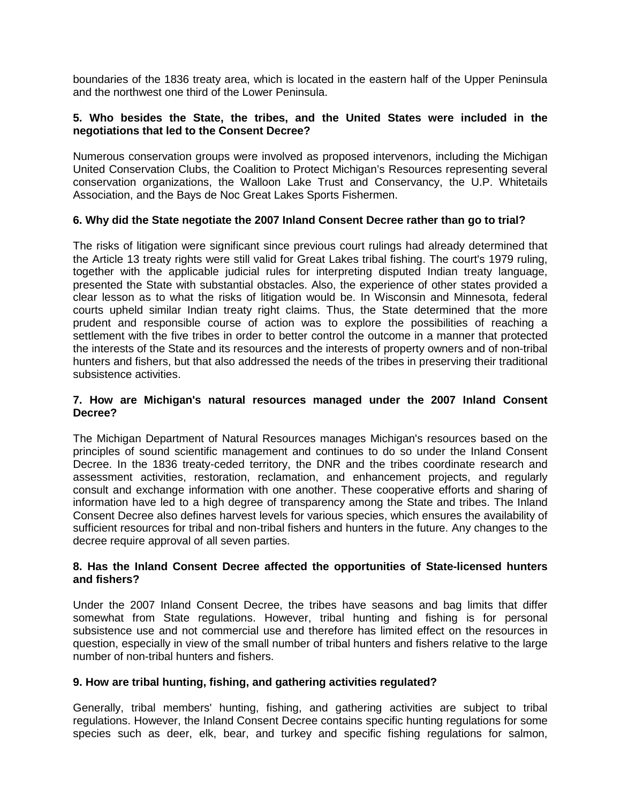boundaries of the 1836 treaty area, which is located in the eastern half of the Upper Peninsula and the northwest one third of the Lower Peninsula.

## **5. Who besides the State, the tribes, and the United States were included in the negotiations that led to the Consent Decree?**

Numerous conservation groups were involved as proposed intervenors, including the Michigan United Conservation Clubs, the Coalition to Protect Michigan's Resources representing several conservation organizations, the Walloon Lake Trust and Conservancy, the U.P. Whitetails Association, and the Bays de Noc Great Lakes Sports Fishermen.

# **6. Why did the State negotiate the 2007 Inland Consent Decree rather than go to trial?**

The risks of litigation were significant since previous court rulings had already determined that the Article 13 treaty rights were still valid for Great Lakes tribal fishing. The court's 1979 ruling, together with the applicable judicial rules for interpreting disputed Indian treaty language, presented the State with substantial obstacles. Also, the experience of other states provided a clear lesson as to what the risks of litigation would be. In Wisconsin and Minnesota, federal courts upheld similar Indian treaty right claims. Thus, the State determined that the more prudent and responsible course of action was to explore the possibilities of reaching a settlement with the five tribes in order to better control the outcome in a manner that protected the interests of the State and its resources and the interests of property owners and of non-tribal hunters and fishers, but that also addressed the needs of the tribes in preserving their traditional subsistence activities.

#### **7. How are Michigan's natural resources managed under the 2007 Inland Consent Decree?**

The Michigan Department of Natural Resources manages Michigan's resources based on the principles of sound scientific management and continues to do so under the Inland Consent Decree. In the 1836 treaty-ceded territory, the DNR and the tribes coordinate research and assessment activities, restoration, reclamation, and enhancement projects, and regularly consult and exchange information with one another. These cooperative efforts and sharing of information have led to a high degree of transparency among the State and tribes. The Inland Consent Decree also defines harvest levels for various species, which ensures the availability of sufficient resources for tribal and non-tribal fishers and hunters in the future. Any changes to the decree require approval of all seven parties.

### **8. Has the Inland Consent Decree affected the opportunities of State-licensed hunters and fishers?**

Under the 2007 Inland Consent Decree, the tribes have seasons and bag limits that differ somewhat from State regulations. However, tribal hunting and fishing is for personal subsistence use and not commercial use and therefore has limited effect on the resources in question, especially in view of the small number of tribal hunters and fishers relative to the large number of non-tribal hunters and fishers.

#### **9. How are tribal hunting, fishing, and gathering activities regulated?**

Generally, tribal members' hunting, fishing, and gathering activities are subject to tribal regulations. However, the Inland Consent Decree contains specific hunting regulations for some species such as deer, elk, bear, and turkey and specific fishing regulations for salmon,